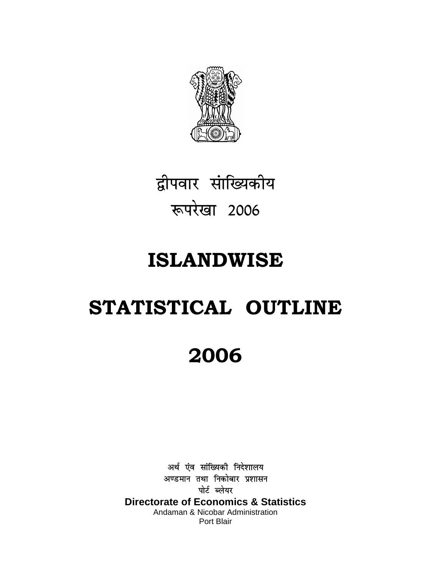

द्वीपवार सांख्यिकीय रूपरेखा 2006

### **ISLANDWISE**

# STATISTICAL OUTLINE

## 2006

अर्थ एंव सांख्यिकी निदेशालय अण्डमान तथा निकोबार प्रशासन पोर्ट ब्लेयर **Directorate of Economics & Statistics** Andaman & Nicobar Administration Port Blair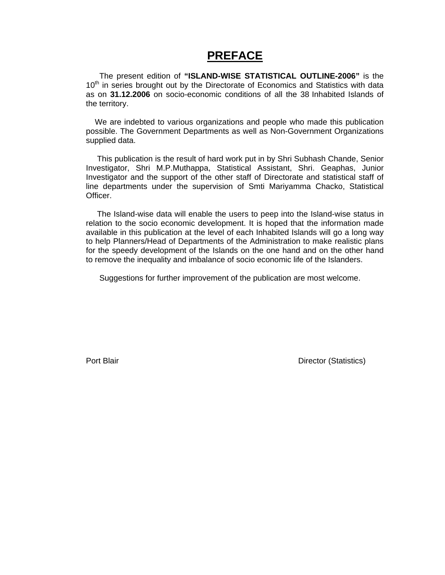#### **PREFACE**

 The present edition of **"ISLAND-WISE STATISTICAL OUTLINE-2006"** is the 10<sup>th</sup> in series brought out by the Directorate of Economics and Statistics with data as on **31.12.2006** on socio-economic conditions of all the 38 Inhabited Islands of the territory.

 We are indebted to various organizations and people who made this publication possible. The Government Departments as well as Non-Government Organizations supplied data.

 This publication is the result of hard work put in by Shri Subhash Chande, Senior Investigator, Shri M.P.Muthappa, Statistical Assistant, Shri. Geaphas, Junior Investigator and the support of the other staff of Directorate and statistical staff of line departments under the supervision of Smti Mariyamma Chacko, Statistical Officer.

 The Island-wise data will enable the users to peep into the Island-wise status in relation to the socio economic development. It is hoped that the information made available in this publication at the level of each Inhabited Islands will go a long way to help Planners/Head of Departments of the Administration to make realistic plans for the speedy development of the Islands on the one hand and on the other hand to remove the inequality and imbalance of socio economic life of the Islanders.

Suggestions for further improvement of the publication are most welcome.

**Port Blair Community Community Community Community Community Community Community Community Community Community**